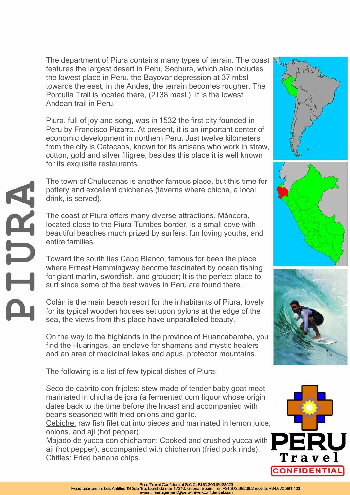The department of Piura contains many types of terrain. The coast features the largest desert in Peru, Sechura, which also includes the lowest place in Peru, the Bayovar depression at 37 mbsl towards the east, in the Andes, the terrain becomes rougher. The Porculla Trail is located there, (2138 masl ); It is the lowest Andean trail in Peru.

Piura, full of joy and song, was in 1532 the first city founded in Peru by Francisco Pizarro. At present, it is an important center of economic development in northern Peru. Just twelve kilometers from the city is Catacaos, known for its artisans who work in straw, cotton, gold and silver filigree, besides this place it is well known for its exquisite restaurants.

The town of Chulucanas is another famous place, but this time for pottery and excellent chicherías (taverns where chicha, a local drink, is served).

The coast of Piura offers many diverse attractions. Máncora, located close to the Piura-Tumbes border, is a small cove with beautiful beaches much prized by surfers, fun loving youths, and entire families.

URA

Toward the south lies Cabo Blanco, famous for been the place where Ernest Hemmingway become fascinated by ocean fishing for giant marlin, swordfish, and grouper; It is the perfect place to surf since some of the best waves in Peru are found there.

Colán is the main beach resort for the inhabitants of Piura, lovely for its typical wooden houses set upon pylons at the edge of the sea, the views from this place have unparalleled beauty.

On the way to the highlands in the province of Huancabamba, you find the Huaringas, an enclave for shamans and mystic healers and an area of medicinal lakes and apus, protector mountains.

The following is a list of few typical dishes of Piura:

Seco de cabrito con frijoles: stew made of tender baby goat meat marinated in chicha de jora (a fermented corn liquor whose origin dates back to the time before the Incas) and accompanied with beans seasoned with fried onions and garlic.

Cebiche: raw fish filet cut into pieces and marinated in lemon juice, onions, and aji (hot pepper).

Majado de yucca con chicharron: Cooked and crushed yucca with aji (hot pepper), accompanied with chicharron (fried pork rinds). Chifles: Fried banana chips.